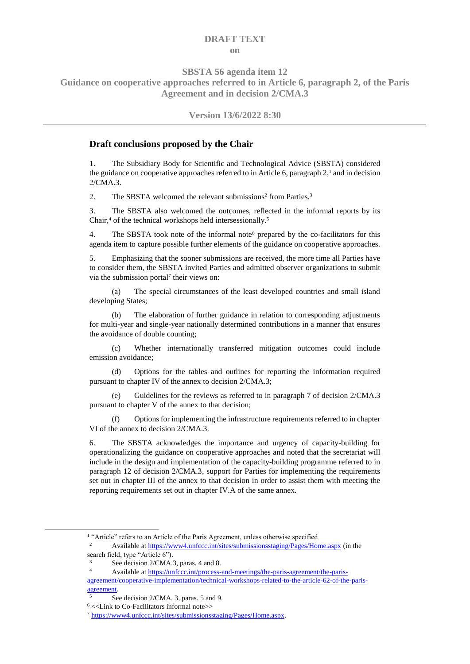## **DRAFT TEXT on**

**SBSTA 56 agenda item 12**

**Guidance on cooperative approaches referred to in Article 6, paragraph 2, of the Paris Agreement and in decision 2/CMA.3**

## **Version 13/6/2022 8:30**

## **Draft conclusions proposed by the Chair**

1. The Subsidiary Body for Scientific and Technological Advice (SBSTA) considered the guidance on cooperative approaches referred to in Article 6, paragraph  $2<sup>1</sup>$  and in decision 2/CMA.3.

2. The SBSTA welcomed the relevant submissions<sup>2</sup> from Parties.<sup>3</sup>

3. The SBSTA also welcomed the outcomes, reflected in the informal reports by its Chair,<sup>4</sup> of the technical workshops held intersessionally.<sup>5</sup>

4. The SBSTA took note of the informal note<sup> $6$ </sup> prepared by the co-facilitators for this agenda item to capture possible further elements of the guidance on cooperative approaches.

5. Emphasizing that the sooner submissions are received, the more time all Parties have to consider them, the SBSTA invited Parties and admitted observer organizations to submit via the submission portal<sup>7</sup> their views on:

(a) The special circumstances of the least developed countries and small island developing States;

(b) The elaboration of further guidance in relation to corresponding adjustments for multi-year and single-year nationally determined contributions in a manner that ensures the avoidance of double counting;

(c) Whether internationally transferred mitigation outcomes could include emission avoidance;

(d) Options for the tables and outlines for reporting the information required pursuant to chapter IV of the annex to decision 2/CMA.3;

(e) Guidelines for the reviews as referred to in paragraph 7 of decision 2/CMA.3 pursuant to chapter V of the annex to that decision;

(f) Options for implementing the infrastructure requirements referred to in chapter VI of the annex to decision 2/CMA.3.

6. The SBSTA acknowledges the importance and urgency of capacity-building for operationalizing the guidance on cooperative approaches and noted that the secretariat will include in the design and implementation of the capacity-building programme referred to in paragraph 12 of decision 2/CMA.3, support for Parties for implementing the requirements set out in chapter III of the annex to that decision in order to assist them with meeting the reporting requirements set out in chapter IV.A of the same annex.

-

<sup>&</sup>lt;sup>1</sup> "Article" refers to an Article of the Paris Agreement, unless otherwise specified

<sup>2</sup> Available at <https://www4.unfccc.int/sites/submissionsstaging/Pages/Home.aspx> (in the search field, type "Article 6").

See decision 2/CMA.3, paras. 4 and 8.

<sup>4</sup> Available a[t https://unfccc.int/process-and-meetings/the-paris-agreement/the-paris-](https://unfccc.int/process-and-meetings/the-paris-agreement/the-paris-agreement/cooperative-implementation/technical-workshops-related-to-the-article-62-of-the-paris-agreement)

[agreement/cooperative-implementation/technical-workshops-related-to-the-article-62-of-the-paris](https://unfccc.int/process-and-meetings/the-paris-agreement/the-paris-agreement/cooperative-implementation/technical-workshops-related-to-the-article-62-of-the-paris-agreement)[agreement.](https://unfccc.int/process-and-meetings/the-paris-agreement/the-paris-agreement/cooperative-implementation/technical-workshops-related-to-the-article-62-of-the-paris-agreement)

<sup>5</sup> See decision 2/CMA. 3, paras. 5 and 9.

<sup>6</sup> <<Link to Co-Facilitators informal note>>

<sup>7</sup> [https://www4.unfccc.int/sites/submissionsstaging/Pages/Home.aspx.](https://www4.unfccc.int/sites/submissionsstaging/Pages/Home.aspx)